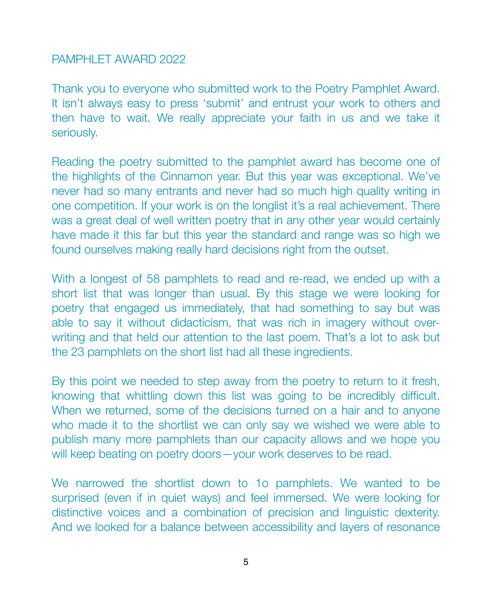### PAMPHLET AWARD 2022

Thank you to everyone who submitted work to the Poetry Pamphlet Award. It isn't always easy to press 'submit' and entrust your work to others and then have to wait. We really appreciate your faith in us and we take it seriously.

Reading the poetry submitted to the pamphlet award has become one of the highlights of the Cinnamon year. But this year was exceptional. We've never had so many entrants and never had so much high quality writing in one competition. If your work is on the longlist it's a real achievement. There was a great deal of well written poetry that in any other year would certainly have made it this far but this year the standard and range was so high we found ourselves making really hard decisions right from the outset.

With a longest of 58 pamphlets to read and re-read, we ended up with a short list that was longer than usual. By this stage we were looking for poetry that engaged us immediately, that had something to say but was able to say it without didacticism, that was rich in imagery without overwriting and that held our attention to the last poem. That's a lot to ask but the 23 pamphlets on the short list had all these ingredients.

By this point we needed to step away from the poetry to return to it fresh, knowing that whittling down this list was going to be incredibly difficult. When we returned, some of the decisions turned on a hair and to anyone who made it to the shortlist we can only say we wished we were able to publish many more pamphlets than our capacity allows and we hope you will keep beating on poetry doors—your work deserves to be read.

We narrowed the shortlist down to 1o pamphlets. We wanted to be surprised (even if in quiet ways) and feel immersed. We were looking for distinctive voices and a combination of precision and linguistic dexterity. And we looked for a balance between accessibility and layers of resonance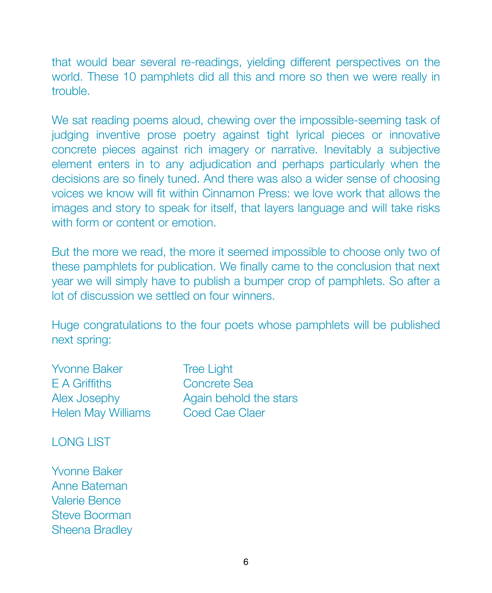that would bear several re-readings, yielding different perspectives on the world. These 10 pamphlets did all this and more so then we were really in trouble.

We sat reading poems aloud, chewing over the impossible-seeming task of judging inventive prose poetry against tight lyrical pieces or innovative concrete pieces against rich imagery or narrative. Inevitably a subjective element enters in to any adjudication and perhaps particularly when the decisions are so finely tuned. And there was also a wider sense of choosing voices we know will fit within Cinnamon Press: we love work that allows the images and story to speak for itself, that layers language and will take risks with form or content or emotion.

But the more we read, the more it seemed impossible to choose only two of these pamphlets for publication. We finally came to the conclusion that next year we will simply have to publish a bumper crop of pamphlets. So after a lot of discussion we settled on four winners.

Huge congratulations to the four poets whose pamphlets will be published next spring:

Yvonne Baker **Tree Light** E A Griffiths **Concrete Sea** Helen May Williams Coed Cae Claer

Alex Josephy **Again behold the stars** 

LONG LIST

Yvonne Baker Anne Bateman Valerie Bence Steve Boorman Sheena Bradley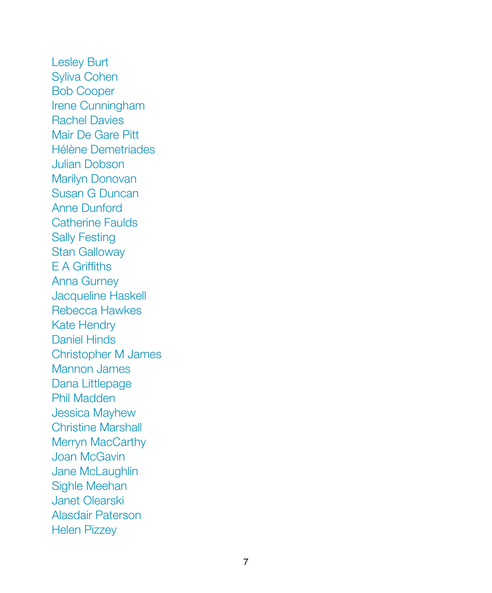Lesley Burt Syliva Cohen Bob Cooper Irene Cunningham Rachel Davies Mair De Gare Pitt Hélène Demetriades Julian Dobson Marilyn Donovan Susan G Duncan Anne Dunford Catherine Faulds Sally Festing Stan Galloway E A Griffiths Anna Gurney Jacqueline Haskell Rebecca Hawkes Kate Hendry Daniel Hinds Christopher M James Mannon James Dana Littlepage Phil Madden Jessica Mayhew Christine Marshall Merryn MacCarthy Joan McGavin Jane McLaughlin Sighle Meehan Janet Olearski Alasdair Paterson Helen Pizzey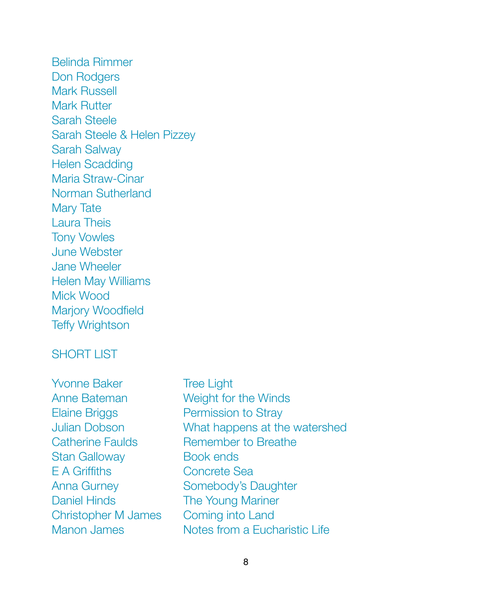Belinda Rimmer Don Rodgers Mark Russell Mark Rutter Sarah Steele Sarah Steele & Helen Pizzey Sarah Salway Helen Scadding Maria Straw-Cinar Norman Sutherland Mary Tate Laura Theis Tony Vowles June Webster Jane Wheeler Helen May Williams Mick Wood Marjory Woodfield Teffy Wrightson

# SHORT LIST

Yvonne Baker **Tree Light** Anne Bateman **Weight for the Winds** Elaine Briggs **Permission to Stray** Julian Dobson What happens at the watershed Catherine Faulds **Bemember to Breather** Stan Galloway **Book ends** E A Griffiths **Concrete Sea** Anna Gurney **Somebody's Daughter** Daniel Hinds **The Young Mariner** Christopher M James Coming into Land Manon James **Notes from a Fucharistic Life**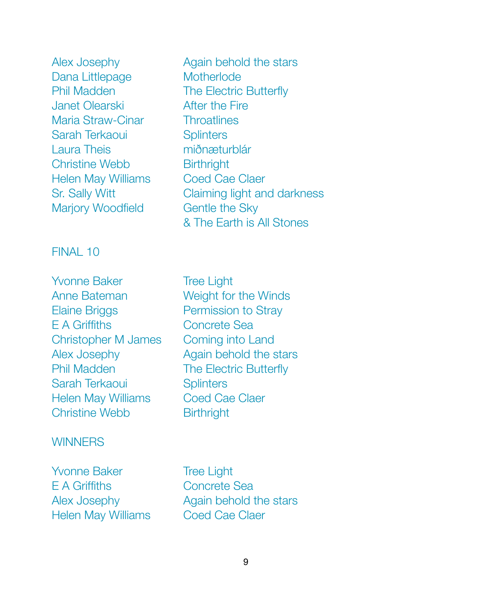Dana Littlepage Motherlode Janet Olearski<br> **After the Fire** Maria Straw-Cinar **Throatlines** Sarah Terkaoui **Splinters** Laura Theis **Manual Manual Manual Manual Manual Manual Manual Manual Manual Manual Manual Manual Manual Manual** Christine Webb Birthright Helen May Williams Coed Cae Claer Marjory Woodfield **Gentle the Sky** 

FINAL 10

Yvonne Baker **Tree Light** Anne Bateman **Weight for the Winds** Elaine Briggs **Dermission to Stray** E A Griffiths **Concrete Sea** Christopher M James Coming into Land Alex Josephy **Again behold the stars** Phil Madden **The Electric Butterfly** Sarah Terkaoui **Splinters** Helen May Williams Coed Cae Claer Christine Webb **Birthright** 

#### **WINNERS**

Yvonne Baker **Tree Light E A Griffiths Concrete Sea** Helen May Williams Coed Cae Claer

Alex Josephy **Again behold the stars** Phil Madden **The Electric Butterfly** Sr. Sally Witt Claiming light and darkness & The Earth is All Stones

Alex Josephy **Again behold the stars**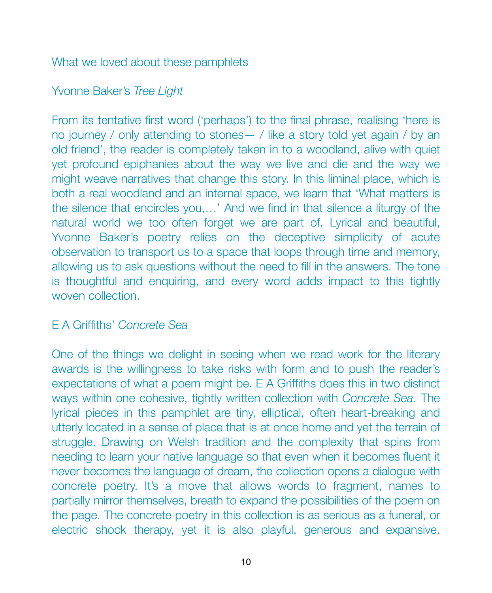#### What we loved about these pamphlets

# Yvonne Baker's *Tree Light*

From its tentative first word ('perhaps') to the final phrase, realising 'here is no journey / only attending to stones— / like a story told yet again / by an old friend', the reader is completely taken in to a woodland, alive with quiet yet profound epiphanies about the way we live and die and the way we might weave narratives that change this story. In this liminal place, which is both a real woodland and an internal space, we learn that 'What matters is the silence that encircles you,…' And we find in that silence a liturgy of the natural world we too often forget we are part of. Lyrical and beautiful, Yvonne Baker's poetry relies on the deceptive simplicity of acute observation to transport us to a space that loops through time and memory, allowing us to ask questions without the need to fill in the answers. The tone is thoughtful and enquiring, and every word adds impact to this tightly woven collection.

# E A Griffiths' *Concrete Sea*

One of the things we delight in seeing when we read work for the literary awards is the willingness to take risks with form and to push the reader's expectations of what a poem might be. E A Griffiths does this in two distinct ways within one cohesive, tightly written collection with *Concrete Sea*. The lyrical pieces in this pamphlet are tiny, elliptical, often heart-breaking and utterly located in a sense of place that is at once home and yet the terrain of struggle. Drawing on Welsh tradition and the complexity that spins from needing to learn your native language so that even when it becomes fluent it never becomes the language of dream, the collection opens a dialogue with concrete poetry. It's a move that allows words to fragment, names to partially mirror themselves, breath to expand the possibilities of the poem on the page. The concrete poetry in this collection is as serious as a funeral, or electric shock therapy, yet it is also playful, generous and expansive.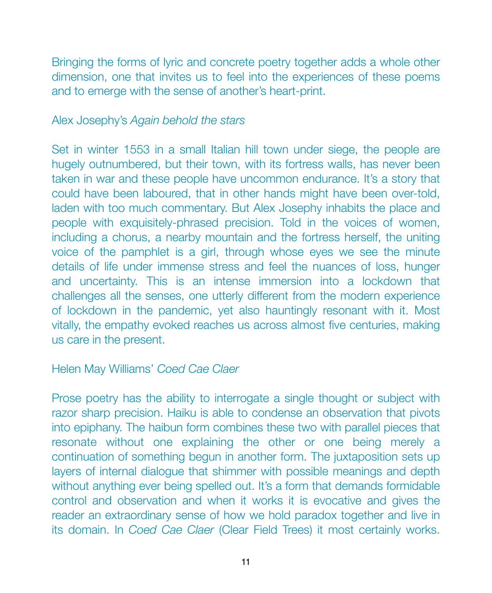Bringing the forms of lyric and concrete poetry together adds a whole other dimension, one that invites us to feel into the experiences of these poems and to emerge with the sense of another's heart-print.

#### Alex Josephy's *Again behold the stars*

Set in winter 1553 in a small Italian hill town under siege, the people are hugely outnumbered, but their town, with its fortress walls, has never been taken in war and these people have uncommon endurance. It's a story that could have been laboured, that in other hands might have been over-told, laden with too much commentary. But Alex Josephy inhabits the place and people with exquisitely-phrased precision. Told in the voices of women, including a chorus, a nearby mountain and the fortress herself, the uniting voice of the pamphlet is a girl, through whose eyes we see the minute details of life under immense stress and feel the nuances of loss, hunger and uncertainty. This is an intense immersion into a lockdown that challenges all the senses, one utterly different from the modern experience of lockdown in the pandemic, yet also hauntingly resonant with it. Most vitally, the empathy evoked reaches us across almost five centuries, making us care in the present.

#### Helen May Williams' *Coed Cae Claer*

Prose poetry has the ability to interrogate a single thought or subject with razor sharp precision. Haiku is able to condense an observation that pivots into epiphany. The haibun form combines these two with parallel pieces that resonate without one explaining the other or one being merely a continuation of something begun in another form. The juxtaposition sets up layers of internal dialogue that shimmer with possible meanings and depth without anything ever being spelled out. It's a form that demands formidable control and observation and when it works it is evocative and gives the reader an extraordinary sense of how we hold paradox together and live in its domain. In *Coed Cae Claer* (Clear Field Trees) it most certainly works.